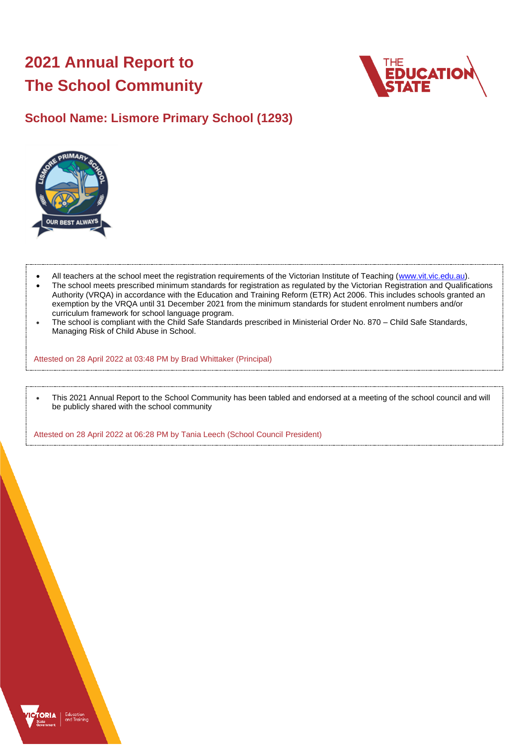# **2021 Annual Report to The School Community**



## **School Name: Lismore Primary School (1293)**



- All teachers at the school meet the registration requirements of the Victorian Institute of Teaching [\(www.vit.vic.edu.au\)](https://www.vit.vic.edu.au/).
- The school meets prescribed minimum standards for registration as regulated by the Victorian Registration and Qualifications Authority (VRQA) in accordance with the Education and Training Reform (ETR) Act 2006. This includes schools granted an exemption by the VRQA until 31 December 2021 from the minimum standards for student enrolment numbers and/or curriculum framework for school language program.
- The school is compliant with the Child Safe Standards prescribed in Ministerial Order No. 870 Child Safe Standards, Managing Risk of Child Abuse in School.

Attested on 28 April 2022 at 03:48 PM by Brad Whittaker (Principal)

• This 2021 Annual Report to the School Community has been tabled and endorsed at a meeting of the school council and will be publicly shared with the school community

Attested on 28 April 2022 at 06:28 PM by Tania Leech (School Council President)

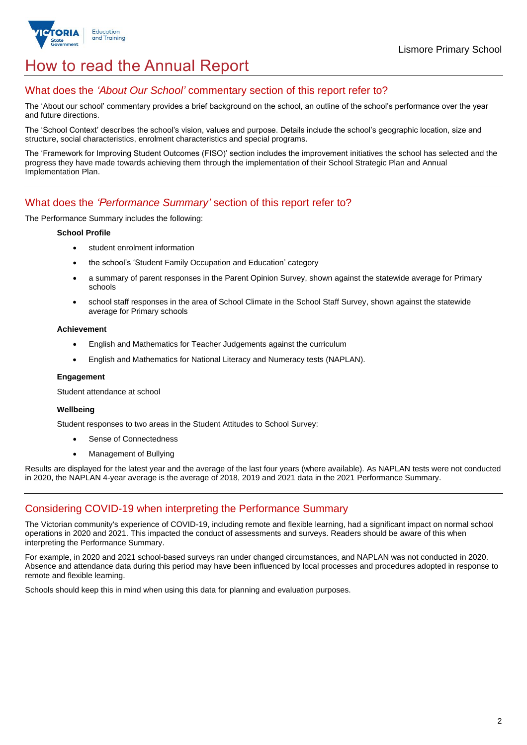

## How to read the Annual Report

## What does the *'About Our School'* commentary section of this report refer to?

The 'About our school' commentary provides a brief background on the school, an outline of the school's performance over the year and future directions.

The 'School Context' describes the school's vision, values and purpose. Details include the school's geographic location, size and structure, social characteristics, enrolment characteristics and special programs.

The 'Framework for Improving Student Outcomes (FISO)' section includes the improvement initiatives the school has selected and the progress they have made towards achieving them through the implementation of their School Strategic Plan and Annual Implementation Plan.

### What does the *'Performance Summary'* section of this report refer to?

The Performance Summary includes the following:

#### **School Profile**

- student enrolment information
- the school's 'Student Family Occupation and Education' category
- a summary of parent responses in the Parent Opinion Survey, shown against the statewide average for Primary schools
- school staff responses in the area of School Climate in the School Staff Survey, shown against the statewide average for Primary schools

#### **Achievement**

- English and Mathematics for Teacher Judgements against the curriculum
- English and Mathematics for National Literacy and Numeracy tests (NAPLAN).

#### **Engagement**

Student attendance at school

#### **Wellbeing**

Student responses to two areas in the Student Attitudes to School Survey:

- Sense of Connectedness
- Management of Bullying

Results are displayed for the latest year and the average of the last four years (where available). As NAPLAN tests were not conducted in 2020, the NAPLAN 4-year average is the average of 2018, 2019 and 2021 data in the 2021 Performance Summary.

## Considering COVID-19 when interpreting the Performance Summary

The Victorian community's experience of COVID-19, including remote and flexible learning, had a significant impact on normal school operations in 2020 and 2021. This impacted the conduct of assessments and surveys. Readers should be aware of this when interpreting the Performance Summary.

For example, in 2020 and 2021 school-based surveys ran under changed circumstances, and NAPLAN was not conducted in 2020. Absence and attendance data during this period may have been influenced by local processes and procedures adopted in response to remote and flexible learning.

Schools should keep this in mind when using this data for planning and evaluation purposes.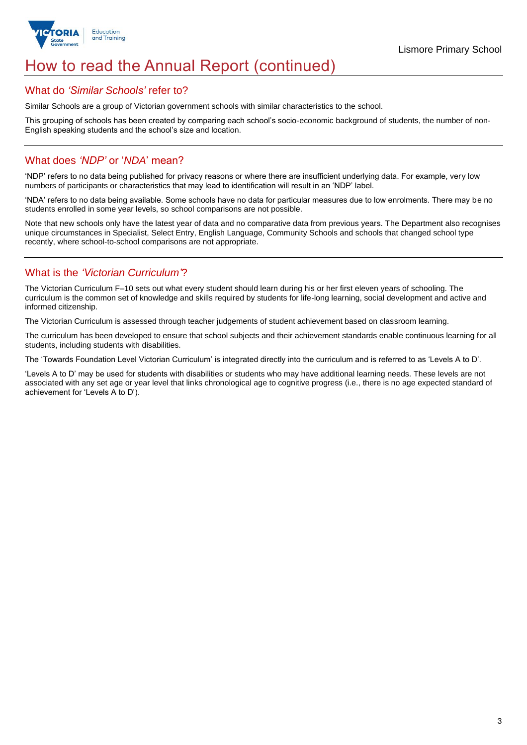

## How to read the Annual Report (continued)

### What do *'Similar Schools'* refer to?

Similar Schools are a group of Victorian government schools with similar characteristics to the school.

This grouping of schools has been created by comparing each school's socio-economic background of students, the number of non-English speaking students and the school's size and location.

### What does *'NDP'* or '*NDA*' mean?

'NDP' refers to no data being published for privacy reasons or where there are insufficient underlying data. For example, very low numbers of participants or characteristics that may lead to identification will result in an 'NDP' label.

'NDA' refers to no data being available. Some schools have no data for particular measures due to low enrolments. There may be no students enrolled in some year levels, so school comparisons are not possible.

Note that new schools only have the latest year of data and no comparative data from previous years. The Department also recognises unique circumstances in Specialist, Select Entry, English Language, Community Schools and schools that changed school type recently, where school-to-school comparisons are not appropriate.

## What is the *'Victorian Curriculum'*?

The Victorian Curriculum F–10 sets out what every student should learn during his or her first eleven years of schooling. The curriculum is the common set of knowledge and skills required by students for life-long learning, social development and active and informed citizenship.

The Victorian Curriculum is assessed through teacher judgements of student achievement based on classroom learning.

The curriculum has been developed to ensure that school subjects and their achievement standards enable continuous learning for all students, including students with disabilities.

The 'Towards Foundation Level Victorian Curriculum' is integrated directly into the curriculum and is referred to as 'Levels A to D'.

'Levels A to D' may be used for students with disabilities or students who may have additional learning needs. These levels are not associated with any set age or year level that links chronological age to cognitive progress (i.e., there is no age expected standard of achievement for 'Levels A to D').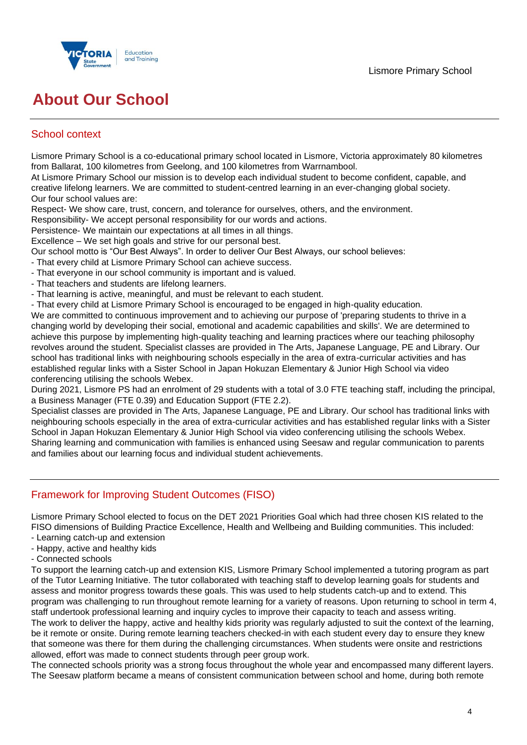

# **About Our School**

## School context

Lismore Primary School is a co-educational primary school located in Lismore, Victoria approximately 80 kilometres from Ballarat, 100 kilometres from Geelong, and 100 kilometres from Warrnambool.

At Lismore Primary School our mission is to develop each individual student to become confident, capable, and creative lifelong learners. We are committed to student-centred learning in an ever-changing global society. Our four school values are:

Respect- We show care, trust, concern, and tolerance for ourselves, others, and the environment.

Responsibility- We accept personal responsibility for our words and actions.

Persistence- We maintain our expectations at all times in all things.

Excellence – We set high goals and strive for our personal best.

Our school motto is "Our Best Always". In order to deliver Our Best Always, our school believes:

- That every child at Lismore Primary School can achieve success.
- That everyone in our school community is important and is valued.
- That teachers and students are lifelong learners.
- That learning is active, meaningful, and must be relevant to each student.

- That every child at Lismore Primary School is encouraged to be engaged in high-quality education.

We are committed to continuous improvement and to achieving our purpose of 'preparing students to thrive in a changing world by developing their social, emotional and academic capabilities and skills'. We are determined to achieve this purpose by implementing high-quality teaching and learning practices where our teaching philosophy revolves around the student. Specialist classes are provided in The Arts, Japanese Language, PE and Library. Our school has traditional links with neighbouring schools especially in the area of extra-curricular activities and has established regular links with a Sister School in Japan Hokuzan Elementary & Junior High School via video conferencing utilising the schools Webex.

During 2021, Lismore PS had an enrolment of 29 students with a total of 3.0 FTE teaching staff, including the principal, a Business Manager (FTE 0.39) and Education Support (FTE 2.2).

Specialist classes are provided in The Arts, Japanese Language, PE and Library. Our school has traditional links with neighbouring schools especially in the area of extra-curricular activities and has established regular links with a Sister School in Japan Hokuzan Elementary & Junior High School via video conferencing utilising the schools Webex. Sharing learning and communication with families is enhanced using Seesaw and regular communication to parents and families about our learning focus and individual student achievements.

## Framework for Improving Student Outcomes (FISO)

Lismore Primary School elected to focus on the DET 2021 Priorities Goal which had three chosen KIS related to the FISO dimensions of Building Practice Excellence, Health and Wellbeing and Building communities. This included:

- Learning catch-up and extension
- Happy, active and healthy kids
- Connected schools

To support the learning catch-up and extension KIS, Lismore Primary School implemented a tutoring program as part of the Tutor Learning Initiative. The tutor collaborated with teaching staff to develop learning goals for students and assess and monitor progress towards these goals. This was used to help students catch-up and to extend. This program was challenging to run throughout remote learning for a variety of reasons. Upon returning to school in term 4, staff undertook professional learning and inquiry cycles to improve their capacity to teach and assess writing. The work to deliver the happy, active and healthy kids priority was regularly adjusted to suit the context of the learning, be it remote or onsite. During remote learning teachers checked-in with each student every day to ensure they knew that someone was there for them during the challenging circumstances. When students were onsite and restrictions allowed, effort was made to connect students through peer group work.

The connected schools priority was a strong focus throughout the whole year and encompassed many different layers. The Seesaw platform became a means of consistent communication between school and home, during both remote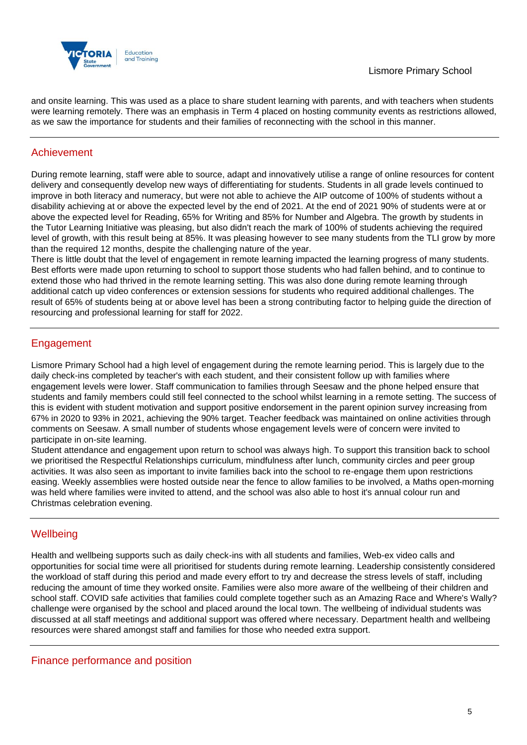

and onsite learning. This was used as a place to share student learning with parents, and with teachers when students were learning remotely. There was an emphasis in Term 4 placed on hosting community events as restrictions allowed, as we saw the importance for students and their families of reconnecting with the school in this manner.

## Achievement

During remote learning, staff were able to source, adapt and innovatively utilise a range of online resources for content delivery and consequently develop new ways of differentiating for students. Students in all grade levels continued to improve in both literacy and numeracy, but were not able to achieve the AIP outcome of 100% of students without a disability achieving at or above the expected level by the end of 2021. At the end of 2021 90% of students were at or above the expected level for Reading, 65% for Writing and 85% for Number and Algebra. The growth by students in the Tutor Learning Initiative was pleasing, but also didn't reach the mark of 100% of students achieving the required level of growth, with this result being at 85%. It was pleasing however to see many students from the TLI grow by more than the required 12 months, despite the challenging nature of the year.

There is little doubt that the level of engagement in remote learning impacted the learning progress of many students. Best efforts were made upon returning to school to support those students who had fallen behind, and to continue to extend those who had thrived in the remote learning setting. This was also done during remote learning through additional catch up video conferences or extension sessions for students who required additional challenges. The result of 65% of students being at or above level has been a strong contributing factor to helping guide the direction of resourcing and professional learning for staff for 2022.

## Engagement

Lismore Primary School had a high level of engagement during the remote learning period. This is largely due to the daily check-ins completed by teacher's with each student, and their consistent follow up with families where engagement levels were lower. Staff communication to families through Seesaw and the phone helped ensure that students and family members could still feel connected to the school whilst learning in a remote setting. The success of this is evident with student motivation and support positive endorsement in the parent opinion survey increasing from 67% in 2020 to 93% in 2021, achieving the 90% target. Teacher feedback was maintained on online activities through comments on Seesaw. A small number of students whose engagement levels were of concern were invited to participate in on-site learning.

Student attendance and engagement upon return to school was always high. To support this transition back to school we prioritised the Respectful Relationships curriculum, mindfulness after lunch, community circles and peer group activities. It was also seen as important to invite families back into the school to re-engage them upon restrictions easing. Weekly assemblies were hosted outside near the fence to allow families to be involved, a Maths open-morning was held where families were invited to attend, and the school was also able to host it's annual colour run and Christmas celebration evening.

## **Wellbeing**

Health and wellbeing supports such as daily check-ins with all students and families, Web-ex video calls and opportunities for social time were all prioritised for students during remote learning. Leadership consistently considered the workload of staff during this period and made every effort to try and decrease the stress levels of staff, including reducing the amount of time they worked onsite. Families were also more aware of the wellbeing of their children and school staff. COVID safe activities that families could complete together such as an Amazing Race and Where's Wally? challenge were organised by the school and placed around the local town. The wellbeing of individual students was discussed at all staff meetings and additional support was offered where necessary. Department health and wellbeing resources were shared amongst staff and families for those who needed extra support.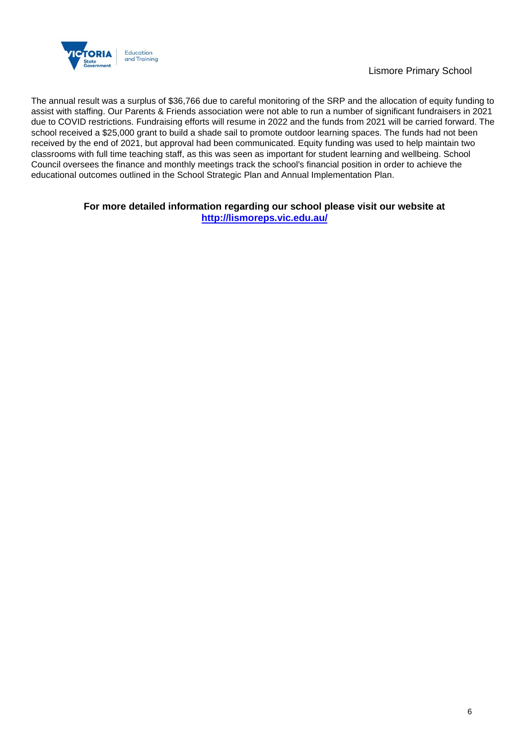

The annual result was a surplus of \$36,766 due to careful monitoring of the SRP and the allocation of equity funding to assist with staffing. Our Parents & Friends association were not able to run a number of significant fundraisers in 2021 due to COVID restrictions. Fundraising efforts will resume in 2022 and the funds from 2021 will be carried forward. The school received a \$25,000 grant to build a shade sail to promote outdoor learning spaces. The funds had not been received by the end of 2021, but approval had been communicated. Equity funding was used to help maintain two classrooms with full time teaching staff, as this was seen as important for student learning and wellbeing. School Council oversees the finance and monthly meetings track the school's financial position in order to achieve the educational outcomes outlined in the School Strategic Plan and Annual Implementation Plan.

#### **For more detailed information regarding our school please visit our website at <http://lismoreps.vic.edu.au/>**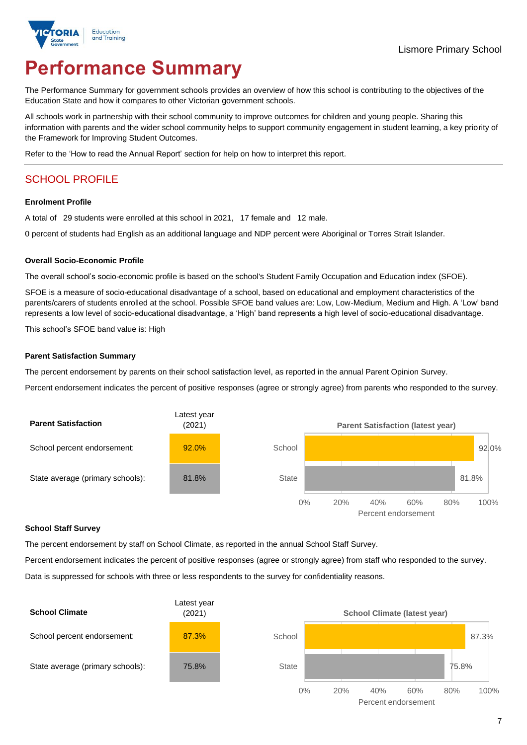

# **Performance Summary**

The Performance Summary for government schools provides an overview of how this school is contributing to the objectives of the Education State and how it compares to other Victorian government schools.

All schools work in partnership with their school community to improve outcomes for children and young people. Sharing this information with parents and the wider school community helps to support community engagement in student learning, a key priority of the Framework for Improving Student Outcomes.

Refer to the 'How to read the Annual Report' section for help on how to interpret this report.

## SCHOOL PROFILE

#### **Enrolment Profile**

A total of 29 students were enrolled at this school in 2021, 17 female and 12 male.

0 percent of students had English as an additional language and NDP percent were Aboriginal or Torres Strait Islander.

#### **Overall Socio-Economic Profile**

The overall school's socio-economic profile is based on the school's Student Family Occupation and Education index (SFOE).

SFOE is a measure of socio-educational disadvantage of a school, based on educational and employment characteristics of the parents/carers of students enrolled at the school. Possible SFOE band values are: Low, Low-Medium, Medium and High. A 'Low' band represents a low level of socio-educational disadvantage, a 'High' band represents a high level of socio-educational disadvantage.

This school's SFOE band value is: High

#### **Parent Satisfaction Summary**

The percent endorsement by parents on their school satisfaction level, as reported in the annual Parent Opinion Survey.

Percent endorsement indicates the percent of positive responses (agree or strongly agree) from parents who responded to the survey.



#### **School Staff Survey**

The percent endorsement by staff on School Climate, as reported in the annual School Staff Survey.

Percent endorsement indicates the percent of positive responses (agree or strongly agree) from staff who responded to the survey.

Data is suppressed for schools with three or less respondents to the survey for confidentiality reasons.

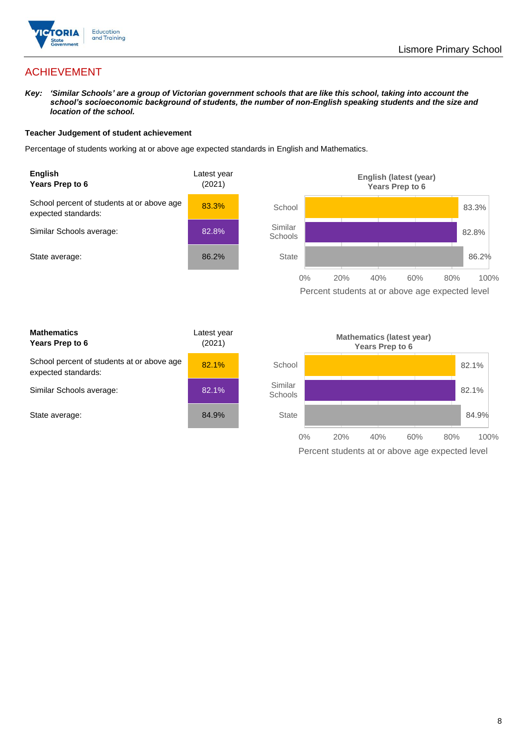

## ACHIEVEMENT

*Key: 'Similar Schools' are a group of Victorian government schools that are like this school, taking into account the school's socioeconomic background of students, the number of non-English speaking students and the size and location of the school.*

#### **Teacher Judgement of student achievement**

Percentage of students working at or above age expected standards in English and Mathematics.



Percent students at or above age expected level

| <b>Mathematics</b><br>Years Prep to 6                             | Latest vear<br>(2021) |
|-------------------------------------------------------------------|-----------------------|
| School percent of students at or above age<br>expected standards: | 82.1%                 |
| Similar Schools average:                                          | 82.1%                 |
| State average:                                                    | 84.9%                 |

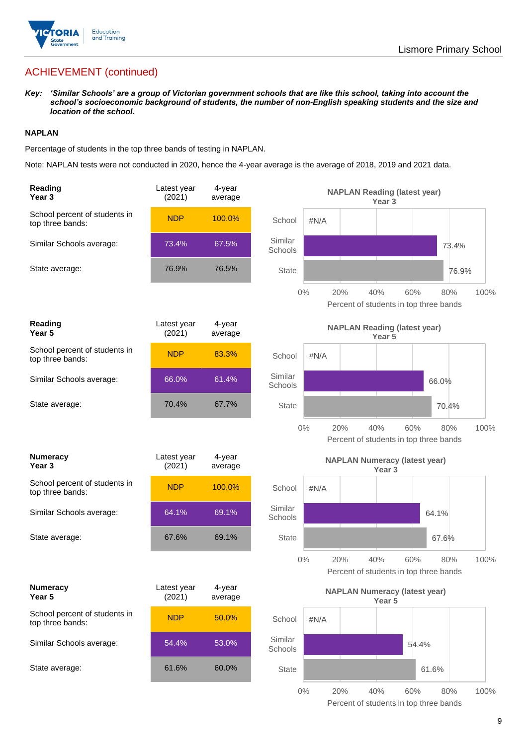

## ACHIEVEMENT (continued)

*Key: 'Similar Schools' are a group of Victorian government schools that are like this school, taking into account the school's socioeconomic background of students, the number of non-English speaking students and the size and location of the school.*

#### **NAPLAN**

Percentage of students in the top three bands of testing in NAPLAN.

Note: NAPLAN tests were not conducted in 2020, hence the 4-year average is the average of 2018, 2019 and 2021 data.

| Reading<br>Year <sub>3</sub>                      | Latest year<br>(2021) | 4-year<br>average |                                               |       | <b>NAPLAN Reading (latest year)</b>           | Year 3            |       |       |       |      |
|---------------------------------------------------|-----------------------|-------------------|-----------------------------------------------|-------|-----------------------------------------------|-------------------|-------|-------|-------|------|
| School percent of students in<br>top three bands: | <b>NDP</b>            | 100.0%            | School                                        | #N/A  |                                               |                   |       |       |       |      |
| Similar Schools average:                          | 73.4%                 | 67.5%             | Similar<br>Schools                            |       |                                               |                   |       |       | 73.4% |      |
| State average:                                    | 76.9%                 | 76.5%             | <b>State</b>                                  |       |                                               |                   |       |       | 76.9% |      |
|                                                   |                       |                   |                                               | $0\%$ | 20%<br>Percent of students in top three bands | 40%               | 60%   |       | 80%   | 100% |
| Reading<br>Year 5                                 | Latest year<br>(2021) | 4-year<br>average | <b>NAPLAN Reading (latest year)</b><br>Year 5 |       |                                               |                   |       |       |       |      |
| School percent of students in<br>top three bands: | <b>NDP</b>            | 83.3%             | School                                        | #N/A  |                                               |                   |       |       |       |      |
| Similar Schools average:                          | 66.0%                 | 61.4%             | Similar<br>Schools                            |       |                                               |                   |       | 66.0% |       |      |
| State average:                                    | 70.4%                 | 67.7%             | <b>State</b>                                  |       |                                               |                   |       |       | 70.4% |      |
|                                                   |                       |                   |                                               | $0\%$ | 20%<br>Percent of students in top three bands | 40%               | 60%   |       | 80%   | 100% |
|                                                   |                       |                   |                                               |       |                                               |                   |       |       |       |      |
| <b>Numeracy</b><br>Year <sub>3</sub>              | Latest year<br>(2021) | 4-year<br>average |                                               |       | <b>NAPLAN Numeracy (latest year)</b>          | Year <sub>3</sub> |       |       |       |      |
| School percent of students in<br>top three bands: | <b>NDP</b>            | 100.0%            | School                                        | #N/A  |                                               |                   |       |       |       |      |
| Similar Schools average:                          | 64.1%                 | 69.1%             | Similar<br>Schools                            |       |                                               |                   |       | 64.1% |       |      |
| State average:                                    | 67.6%                 | 69.1%             | <b>State</b>                                  |       |                                               |                   |       | 67.6% |       |      |
|                                                   |                       |                   |                                               | $0\%$ | 20%<br>Percent of students in top three bands | 40%               | 60%   |       | 80%   | 100% |
| <b>Numeracy</b><br>Year 5                         | Latest year<br>(2021) | 4-year<br>average |                                               |       | <b>NAPLAN Numeracy (latest year)</b>          | Year 5            |       |       |       |      |
| School percent of students in<br>top three bands: | <b>NDP</b>            | 50.0%             | School                                        | #N/A  |                                               |                   |       |       |       |      |
| Similar Schools average:                          | 54.4%                 | 53.0%             | Similar<br>Schools                            |       |                                               |                   | 54.4% |       |       |      |
| State average:                                    | 61.6%                 | 60.0%             | <b>State</b>                                  |       |                                               |                   |       | 61.6% |       |      |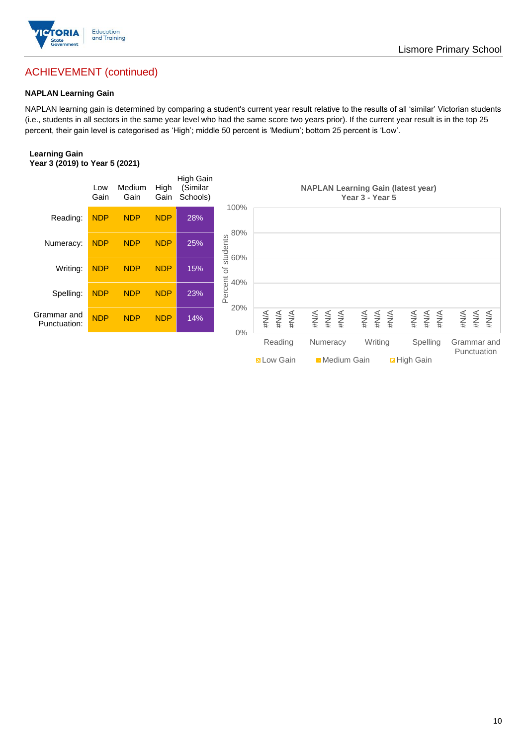

## ACHIEVEMENT (continued)

#### **NAPLAN Learning Gain**

NAPLAN learning gain is determined by comparing a student's current year result relative to the results of all 'similar' Victorian students (i.e., students in all sectors in the same year level who had the same score two years prior). If the current year result is in the top 25 percent, their gain level is categorised as 'High'; middle 50 percent is 'Medium'; bottom 25 percent is 'Low'.

#### **Learning Gain Year 3 (2019) to Year 5 (2021)**

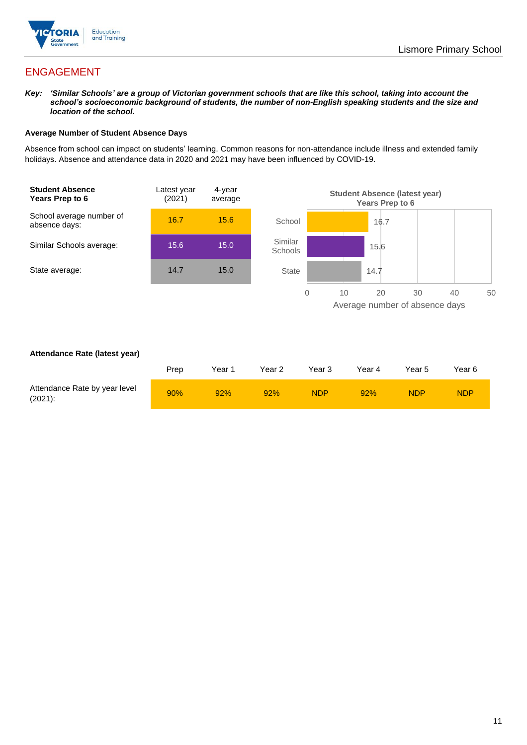

## ENGAGEMENT

*Key: 'Similar Schools' are a group of Victorian government schools that are like this school, taking into account the school's socioeconomic background of students, the number of non-English speaking students and the size and location of the school.*

#### **Average Number of Student Absence Days**

Absence from school can impact on students' learning. Common reasons for non-attendance include illness and extended family holidays. Absence and attendance data in 2020 and 2021 may have been influenced by COVID-19.



#### **Attendance Rate (latest year)**

|                                             | Prep | Year 1 | Year 2 | Year 3     | Year 4 | Year 5 | Year 6     |
|---------------------------------------------|------|--------|--------|------------|--------|--------|------------|
| Attendance Rate by year level<br>$(2021)$ : | 90%  | 92%    | 92%    | <b>NDP</b> | 92%    | NDP    | <b>NDP</b> |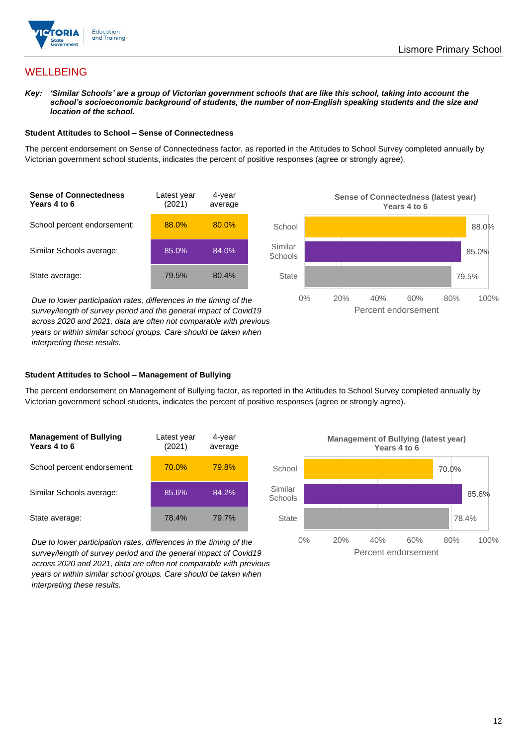

## **WELLBEING**

*Key: 'Similar Schools' are a group of Victorian government schools that are like this school, taking into account the school's socioeconomic background of students, the number of non-English speaking students and the size and location of the school.*

#### **Student Attitudes to School – Sense of Connectedness**

The percent endorsement on Sense of Connectedness factor, as reported in the Attitudes to School Survey completed annually by Victorian government school students, indicates the percent of positive responses (agree or strongly agree).



*Due to lower participation rates, differences in the timing of the survey/length of survey period and the general impact of Covid19 across 2020 and 2021, data are often not comparable with previous years or within similar school groups. Care should be taken when interpreting these results.*



#### **Student Attitudes to School – Management of Bullying**

The percent endorsement on Management of Bullying factor, as reported in the Attitudes to School Survey completed annually by Victorian government school students, indicates the percent of positive responses (agree or strongly agree).

| <b>Management of Bullying</b><br>Years 4 to 6 | Latest year<br>(2021) | 4-year<br>average |  |
|-----------------------------------------------|-----------------------|-------------------|--|
| School percent endorsement:                   | 70.0%                 | 79.8%             |  |
| Similar Schools average:                      | 85.6%                 | 84.2%             |  |
| State average:                                | 78.4%                 | 79.7%             |  |

*Due to lower participation rates, differences in the timing of the survey/length of survey period and the general impact of Covid19 across 2020 and 2021, data are often not comparable with previous years or within similar school groups. Care should be taken when interpreting these results.*

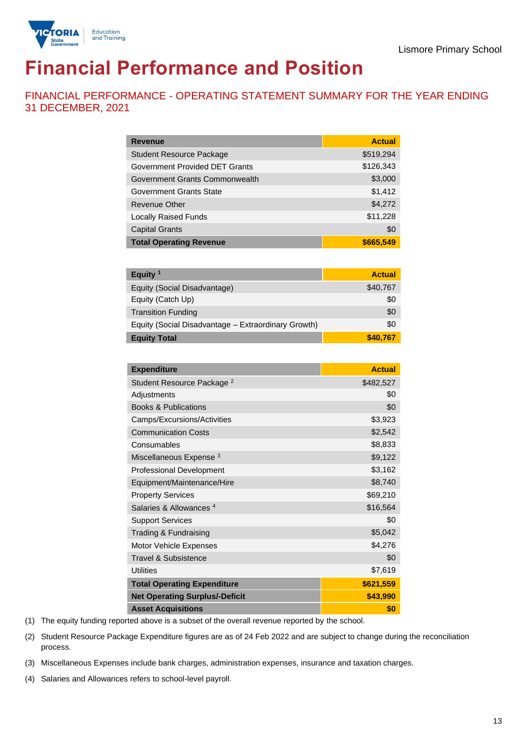

# **Financial Performance and Position**

FINANCIAL PERFORMANCE - OPERATING STATEMENT SUMMARY FOR THE YEAR ENDING 31 DECEMBER, 2021

| <b>Revenue</b>                  | <b>Actual</b> |
|---------------------------------|---------------|
| <b>Student Resource Package</b> | \$519,294     |
| Government Provided DET Grants  | \$126,343     |
| Government Grants Commonwealth  | \$3,000       |
| <b>Government Grants State</b>  | \$1,412       |
| <b>Revenue Other</b>            | \$4,272       |
| <b>Locally Raised Funds</b>     | \$11,228      |
| <b>Capital Grants</b>           | \$0           |
| <b>Total Operating Revenue</b>  | \$665,549     |

| Equity <sup>1</sup>                                 | <b>Actual</b> |
|-----------------------------------------------------|---------------|
| Equity (Social Disadvantage)                        | \$40,767      |
| Equity (Catch Up)                                   | \$0           |
| <b>Transition Funding</b>                           | \$0           |
| Equity (Social Disadvantage - Extraordinary Growth) | \$0           |
| <b>Equity Total</b>                                 | \$40.767      |

| <b>Expenditure</b>                    | <b>Actual</b> |
|---------------------------------------|---------------|
| Student Resource Package <sup>2</sup> | \$482,527     |
| Adjustments                           | \$0           |
| <b>Books &amp; Publications</b>       | \$0           |
| Camps/Excursions/Activities           | \$3,923       |
| <b>Communication Costs</b>            | \$2,542       |
| Consumables                           | \$8,833       |
| Miscellaneous Expense <sup>3</sup>    | \$9,122       |
| <b>Professional Development</b>       | \$3,162       |
| Equipment/Maintenance/Hire            | \$8,740       |
| <b>Property Services</b>              | \$69,210      |
| Salaries & Allowances <sup>4</sup>    | \$16,564      |
| <b>Support Services</b>               | \$0           |
| Trading & Fundraising                 | \$5,042       |
| Motor Vehicle Expenses                | \$4,276       |
| Travel & Subsistence                  | \$0           |
| <b>Utilities</b>                      | \$7,619       |
| <b>Total Operating Expenditure</b>    | \$621,559     |
| <b>Net Operating Surplus/-Deficit</b> | \$43,990      |
| <b>Asset Acquisitions</b>             | \$0           |

(1) The equity funding reported above is a subset of the overall revenue reported by the school.

(2) Student Resource Package Expenditure figures are as of 24 Feb 2022 and are subject to change during the reconciliation process.

(3) Miscellaneous Expenses include bank charges, administration expenses, insurance and taxation charges.

(4) Salaries and Allowances refers to school-level payroll.